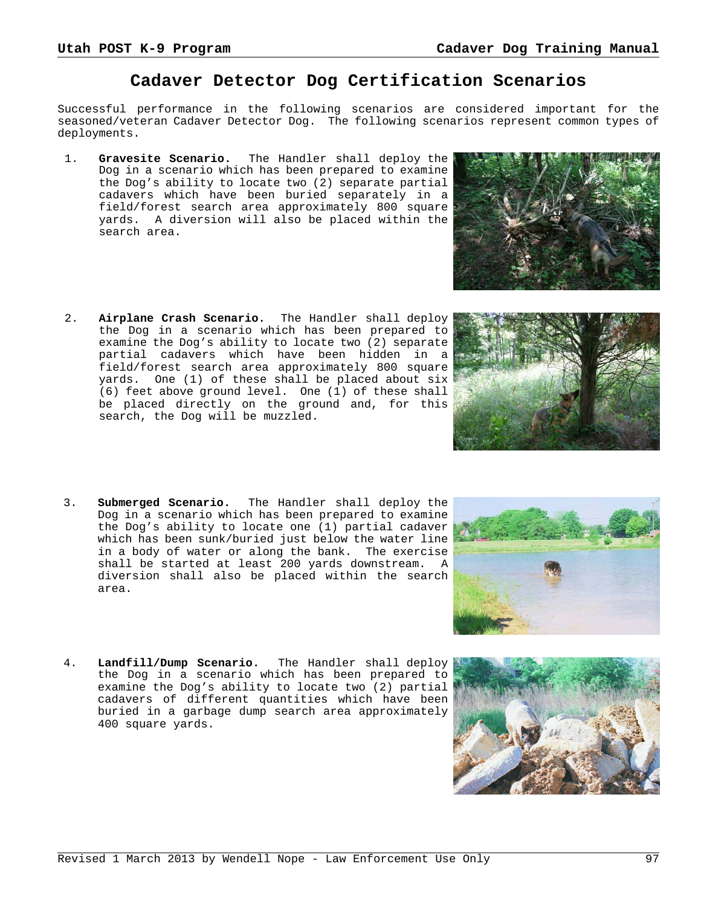# **Cadaver Detector Dog Certification Scenarios**

Successful performance in the following scenarios are considered important for the seasoned/veteran Cadaver Detector Dog. The following scenarios represent common types of deployments.

- 1. **Gravesite Scenario.** The Handler shall deploy the Dog in a scenario which has been prepared to examine the Dog's ability to locate two (2) separate partial cadavers which have been buried separately in a field/forest search area approximately 800 square yards. A diversion will also be placed within the search area.
- 2. **Airplane Crash Scenario.** The Handler shall deploy the Dog in a scenario which has been prepared to examine the Dog's ability to locate two (2) separate partial cadavers which have been hidden in a field/forest search area approximately 800 square yards. One (1) of these shall be placed about six (6) feet above ground level. One (1) of these shall be placed directly on the ground and, for this search, the Dog will be muzzled.
- 3. **Submerged Scenario.** The Handler shall deploy the Dog in a scenario which has been prepared to examine the Dog's ability to locate one (1) partial cadaver which has been sunk/buried just below the water line in a body of water or along the bank. The exercise shall be started at least 200 yards downstream. A diversion shall also be placed within the search area.
- 4. **Landfill/Dump Scenario.** The Handler shall deploy the Dog in a scenario which has been prepared to examine the Dog's ability to locate two (2) partial cadavers of different quantities which have been buried in a garbage dump search area approximately 400 square yards.



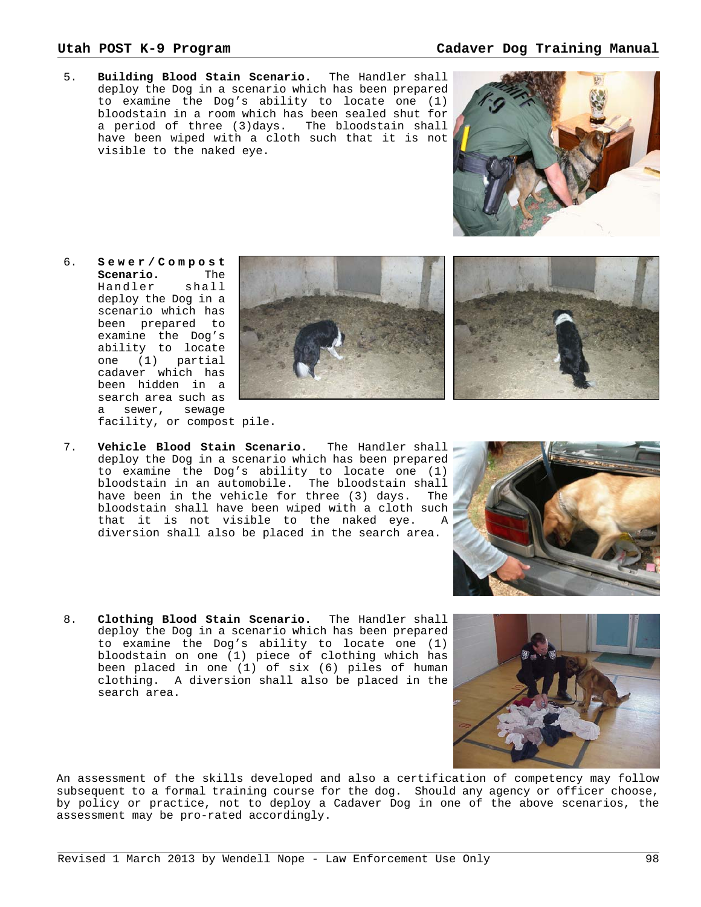5. **Building Blood Stain Scenario.** The Handler shall deploy the Dog in a scenario which has been prepared to examine the Dog's ability to locate one (1) bloodstain in a room which has been sealed shut for a period of three (3)days. The bloodstain shall have been wiped with a cloth such that it is not visible to the naked eye.

- 6. **Sewer/Compost Scenario.** The Handler shall deploy the Dog in a scenario which has been prepared to examine the Dog's ability to locate one (1) partial cadaver which has been hidden in a search area such as a sewer, sewage facility, or compost pile.
- 7. **Vehicle Blood Stain Scenario.** The Handler shall deploy the Dog in a scenario which has been prepared to examine the Dog's ability to locate one (1) bloodstain in an automobile. The bloodstain shall have been in the vehicle for three (3) days. The bloodstain shall have been wiped with a cloth such that it is not visible to the naked eye. A diversion shall also be placed in the search area.
- 8. **Clothing Blood Stain Scenario.** The Handler shall deploy the Dog in a scenario which has been prepared to examine the Dog's ability to locate one (1) bloodstain on one (1) piece of clothing which has been placed in one (1) of six (6) piles of human clothing. A diversion shall also be placed in the search area.

An assessment of the skills developed and also a certification of competency may follow subsequent to a formal training course for the dog. Should any agency or officer choose, by policy or practice, not to deploy a Cadaver Dog in one of the above scenarios, the assessment may be pro-rated accordingly.







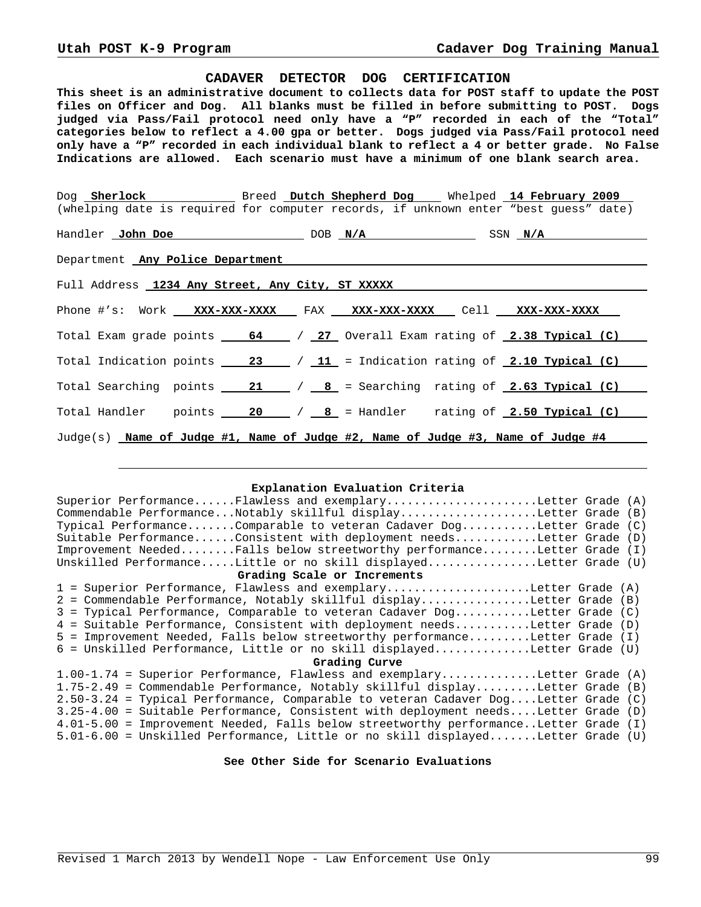### **CADAVER DETECTOR DOG CERTIFICATION**

**This sheet is an administrative document to collects data for POST staff to update the POST files on Officer and Dog. All blanks must be filled in before submitting to POST. Dogs judged via Pass/Fail protocol need only have a "P" recorded in each of the "Total" categories below to reflect a 4.00 gpa or better. Dogs judged via Pass/Fail protocol need only have a "P" recorded in each individual blank to reflect a 4 or better grade. No False Indications are allowed. Each scenario must have a minimum of one blank search area.**

|                                                                                      |  |  |  |  |  |  | Dog Sherlock Breed Dutch Shepherd Dog Mhelped 14 February 2009                                                                                                                   |  |
|--------------------------------------------------------------------------------------|--|--|--|--|--|--|----------------------------------------------------------------------------------------------------------------------------------------------------------------------------------|--|
|                                                                                      |  |  |  |  |  |  | (whelping date is required for computer records, if unknown enter "best guess" date)                                                                                             |  |
|                                                                                      |  |  |  |  |  |  | Handler John Doe Note DOB N/A SSN N/A SSN N/A                                                                                                                                    |  |
|                                                                                      |  |  |  |  |  |  |                                                                                                                                                                                  |  |
| Department Any Police Department<br>Full Address 1234 Any Street, Any City, ST XXXXX |  |  |  |  |  |  |                                                                                                                                                                                  |  |
|                                                                                      |  |  |  |  |  |  |                                                                                                                                                                                  |  |
|                                                                                      |  |  |  |  |  |  | Total Exam grade points 64 / 27 Overall Exam rating of 2.38 Typical (C)                                                                                                          |  |
|                                                                                      |  |  |  |  |  |  | Total Indication points $\frac{23}{11}$ = Indication rating of 2.10 Typical (C)                                                                                                  |  |
|                                                                                      |  |  |  |  |  |  | Total Searching points $\underline{\hspace{1em}21\qquad}$ / $\underline{\hspace{1em}8\hspace{1em}}$ = Searching rating of $\underline{\hspace{1em}2.63\hspace{1em}}$ Typical (C) |  |
|                                                                                      |  |  |  |  |  |  | Total Handler points $\frac{20}{18}$ / $\frac{8}{18}$ = Handler rating of 2.50 Typical (C)                                                                                       |  |
|                                                                                      |  |  |  |  |  |  | $Judge(s)$ Name of Judge #1, Name of Judge #2, Name of Judge #3, Name of Judge #4                                                                                                |  |

## **Explanation Evaluation Criteria**

| Superior PerformanceFlawless and exemplaryLetter Grade (A)                           |  |  |  |  |  |  |  |
|--------------------------------------------------------------------------------------|--|--|--|--|--|--|--|
| Commendable PerformanceNotably skillful displayLetter Grade (B)                      |  |  |  |  |  |  |  |
| Typical PerformanceComparable to veteran Cadaver DogLetter Grade (C)                 |  |  |  |  |  |  |  |
| Suitable PerformanceConsistent with deployment needsLetter Grade (D)                 |  |  |  |  |  |  |  |
| Improvement NeededFalls below streetworthy performanceLetter Grade (I)               |  |  |  |  |  |  |  |
| Unskilled PerformanceLittle or no skill displayedLetter Grade (U)                    |  |  |  |  |  |  |  |
| Grading Scale or Increments                                                          |  |  |  |  |  |  |  |
| 1 = Superior Performance, Flawless and exemplaryLetter Grade (A)                     |  |  |  |  |  |  |  |
| 2 = Commendable Performance, Notably skillful displayLetter Grade (B)                |  |  |  |  |  |  |  |
| 3 = Typical Performance, Comparable to veteran Cadaver DogLetter Grade (C)           |  |  |  |  |  |  |  |
| 4 = Suitable Performance, Consistent with deployment needsLetter Grade (D)           |  |  |  |  |  |  |  |
| 5 = Improvement Needed, Falls below streetworthy performanceLetter Grade (I)         |  |  |  |  |  |  |  |
| 6 = Unskilled Performance, Little or no skill displayedLetter Grade (U)              |  |  |  |  |  |  |  |
| Grading Curve                                                                        |  |  |  |  |  |  |  |
| $1.00-1.74$ = Superior Performance, Flawless and exemplaryLetter Grade (A)           |  |  |  |  |  |  |  |
| 1.75-2.49 = Commendable Performance, Notably skillful displayLetter Grade (B)        |  |  |  |  |  |  |  |
| 2.50-3.24 = Typical Performance, Comparable to veteran Cadaver DogLetter Grade (C)   |  |  |  |  |  |  |  |
| 3.25-4.00 = Suitable Performance, Consistent with deployment needsLetter Grade (D)   |  |  |  |  |  |  |  |
| 4.01-5.00 = Improvement Needed, Falls below streetworthy performanceLetter Grade (I) |  |  |  |  |  |  |  |
| 5.01-6.00 = Unskilled Performance, Little or no skill displayedLetter Grade (U)      |  |  |  |  |  |  |  |

# **See Other Side for Scenario Evaluations**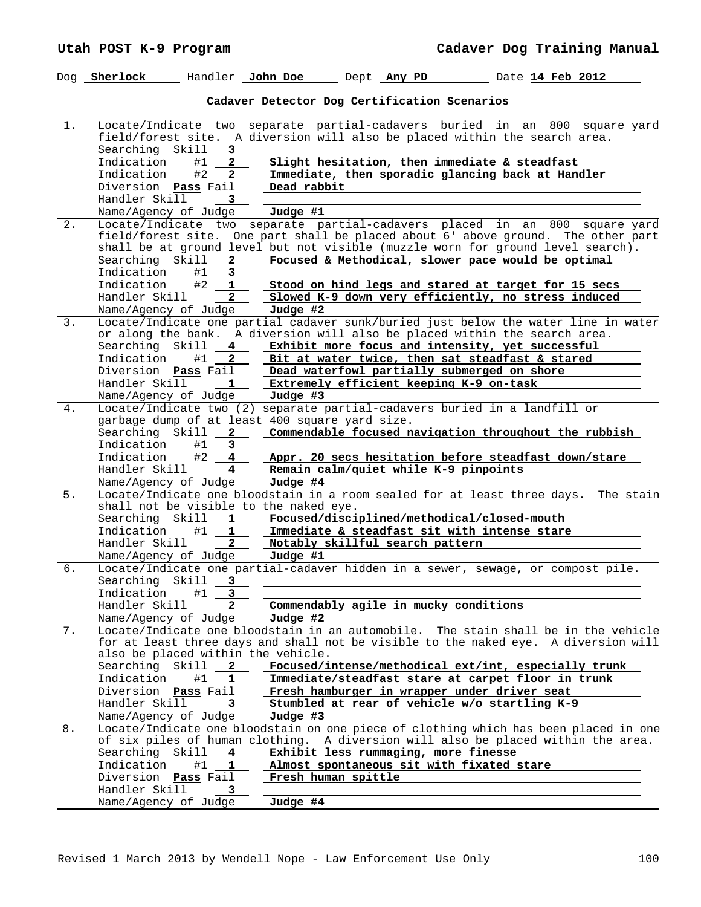|       |                                                 |                    |                                              |                                 | Dog <u>Sherlock and Handler John Doe and Dept Any PD and Date 14 Feb 2012</u>                                                                                                                                                                                            |             |
|-------|-------------------------------------------------|--------------------|----------------------------------------------|---------------------------------|--------------------------------------------------------------------------------------------------------------------------------------------------------------------------------------------------------------------------------------------------------------------------|-------------|
|       |                                                 |                    | Cadaver Detector Dog Certification Scenarios |                                 |                                                                                                                                                                                                                                                                          |             |
| $1$ . | Locate/Indicate two<br>Searching Skill          | 3                  |                                              |                                 | separate partial-cadavers buried in an 800<br>field/forest site. A diversion will also be placed within the search area.                                                                                                                                                 | square yard |
|       | Indication                                      | $\mathbf{2}$<br>#1 |                                              |                                 | Slight hesitation, then immediate & steadfast                                                                                                                                                                                                                            |             |
|       | Indication                                      | #2<br>$\mathbf{2}$ |                                              |                                 | Immediate, then sporadic glancing back at Handler                                                                                                                                                                                                                        |             |
|       | Diversion Pass Fail                             |                    | Dead rabbit                                  |                                 |                                                                                                                                                                                                                                                                          |             |
|       | Handler Skill                                   | 3                  |                                              |                                 |                                                                                                                                                                                                                                                                          |             |
|       | Name/Agency of Judge                            |                    | Judge #1                                     |                                 |                                                                                                                                                                                                                                                                          |             |
| $2$ . | Locate/Indicate two<br>Searching Skill          | $2^{\sim}$         |                                              |                                 | separate partial-cadavers placed in an 800<br>field/forest site. One part shall be placed about 6' above ground. The other part<br>shall be at ground level but not visible (muzzle worn for ground level search).<br>Focused & Methodical, slower pace would be optimal | square yard |
|       | Indication                                      | #1<br>3            |                                              |                                 |                                                                                                                                                                                                                                                                          |             |
|       | Indication                                      | #2<br>1            |                                              |                                 | Stood on hind legs and stared at target for 15 secs                                                                                                                                                                                                                      |             |
|       | Handler Skill                                   | $\overline{2}$     | Judge #2                                     |                                 | Slowed K-9 down very efficiently, no stress induced                                                                                                                                                                                                                      |             |
| 3.    | Name/Agency of Judge                            |                    |                                              |                                 | Locate/Indicate one partial cadaver sunk/buried just below the water line in water                                                                                                                                                                                       |             |
|       |                                                 |                    |                                              |                                 | or along the bank. A diversion will also be placed within the search area.                                                                                                                                                                                               |             |
|       | Searching Skill                                 | 4                  |                                              |                                 | Exhibit more focus and intensity, yet successful                                                                                                                                                                                                                         |             |
|       | Indication                                      | #1<br>$\mathbf{2}$ |                                              |                                 | Bit at water twice, then sat steadfast & stared                                                                                                                                                                                                                          |             |
|       | Diversion Pass Fail                             |                    |                                              |                                 | Dead waterfowl partially submerged on shore                                                                                                                                                                                                                              |             |
|       | Handler Skill                                   | 1                  |                                              |                                 | Extremely efficient keeping K-9 on-task                                                                                                                                                                                                                                  |             |
|       | Name/Agency of Judge                            |                    | Judge #3                                     |                                 |                                                                                                                                                                                                                                                                          |             |
| 4.    |                                                 |                    |                                              |                                 | Locate/Indicate two (2) separate partial-cadavers buried in a landfill or                                                                                                                                                                                                |             |
|       | garbage dump of at least 400 square yard size.  |                    |                                              |                                 |                                                                                                                                                                                                                                                                          |             |
|       | Searching Skill                                 | $\mathbf{2}$       |                                              |                                 | Commendable focused navigation throughout the rubbish                                                                                                                                                                                                                    |             |
|       | Indication                                      | #1<br>3            |                                              |                                 |                                                                                                                                                                                                                                                                          |             |
|       | Indication<br>Handler Skill                     | #2<br>4<br>4       |                                              |                                 | Appr. 20 secs hesitation before steadfast down/stare<br>Remain calm/quiet while K-9 pinpoints                                                                                                                                                                            |             |
|       | Name/Agency of Judge                            |                    | Judge #4                                     |                                 |                                                                                                                                                                                                                                                                          |             |
| 5.    |                                                 |                    |                                              |                                 | Locate/Indicate one bloodstain in a room sealed for at least three days.                                                                                                                                                                                                 | The stain   |
|       | shall not be visible to the naked eye.          |                    |                                              |                                 |                                                                                                                                                                                                                                                                          |             |
|       | Searching Skill                                 | 1                  |                                              |                                 | Focused/disciplined/methodical/closed-mouth                                                                                                                                                                                                                              |             |
|       | Indication                                      | #1<br>1            |                                              |                                 | Immediate & steadfast sit with intense stare                                                                                                                                                                                                                             |             |
|       | Handler Skill                                   | $2^{\circ}$        |                                              | Notably skillful search pattern |                                                                                                                                                                                                                                                                          |             |
|       | Name/Agency of Judge                            |                    | Judge #1                                     |                                 |                                                                                                                                                                                                                                                                          |             |
| б.    | Searching Skill 3                               |                    |                                              |                                 | Locate/Indicate one partial-cadaver hidden in a sewer, sewage, or compost pile.                                                                                                                                                                                          |             |
|       | Indication                                      | #1<br>3            |                                              |                                 |                                                                                                                                                                                                                                                                          |             |
|       | Handler Skill                                   | $\mathbf{2}$       |                                              |                                 | Commendably agile in mucky conditions                                                                                                                                                                                                                                    |             |
|       | Name/Agency of Judge                            |                    | Judge #2                                     |                                 |                                                                                                                                                                                                                                                                          |             |
| 7.    |                                                 |                    |                                              |                                 | Locate/Indicate one bloodstain in an automobile. The stain shall be in the vehicle                                                                                                                                                                                       |             |
|       |                                                 |                    |                                              |                                 | for at least three days and shall not be visible to the naked eye. A diversion will                                                                                                                                                                                      |             |
|       | also be placed within the vehicle.<br>Searching | Skill<br>2         |                                              |                                 | Focused/intense/methodical ext/int, especially trunk                                                                                                                                                                                                                     |             |
|       | Indication                                      | #1<br>ı            |                                              |                                 | Immediate/steadfast stare at carpet floor in trunk                                                                                                                                                                                                                       |             |
|       | Diversion Pass Fail                             |                    |                                              |                                 | Fresh hamburger in wrapper under driver seat                                                                                                                                                                                                                             |             |
|       | Handler Skill                                   | 3                  |                                              |                                 | Stumbled at rear of vehicle w/o startling K-9                                                                                                                                                                                                                            |             |
|       | Name/Agency of Judge                            |                    | Judge #3                                     |                                 |                                                                                                                                                                                                                                                                          |             |
| 8.    |                                                 |                    |                                              |                                 | Locate/Indicate one bloodstain on one piece of clothing which has been placed in one                                                                                                                                                                                     |             |
|       |                                                 |                    |                                              |                                 | of six piles of human clothing. A diversion will also be placed within the area.                                                                                                                                                                                         |             |
|       | Searching                                       | Skill<br>4         |                                              |                                 | Exhibit less rummaging, more finesse                                                                                                                                                                                                                                     |             |
|       | Indication                                      | #1<br>1            |                                              |                                 | Almost spontaneous sit with fixated stare                                                                                                                                                                                                                                |             |
|       | Diversion                                       | Pass Fail          | Fresh human spittle                          |                                 |                                                                                                                                                                                                                                                                          |             |
|       | Handler Skill                                   | 3                  |                                              |                                 |                                                                                                                                                                                                                                                                          |             |
|       | Name/Agency of Judge                            |                    | Judge #4                                     |                                 |                                                                                                                                                                                                                                                                          |             |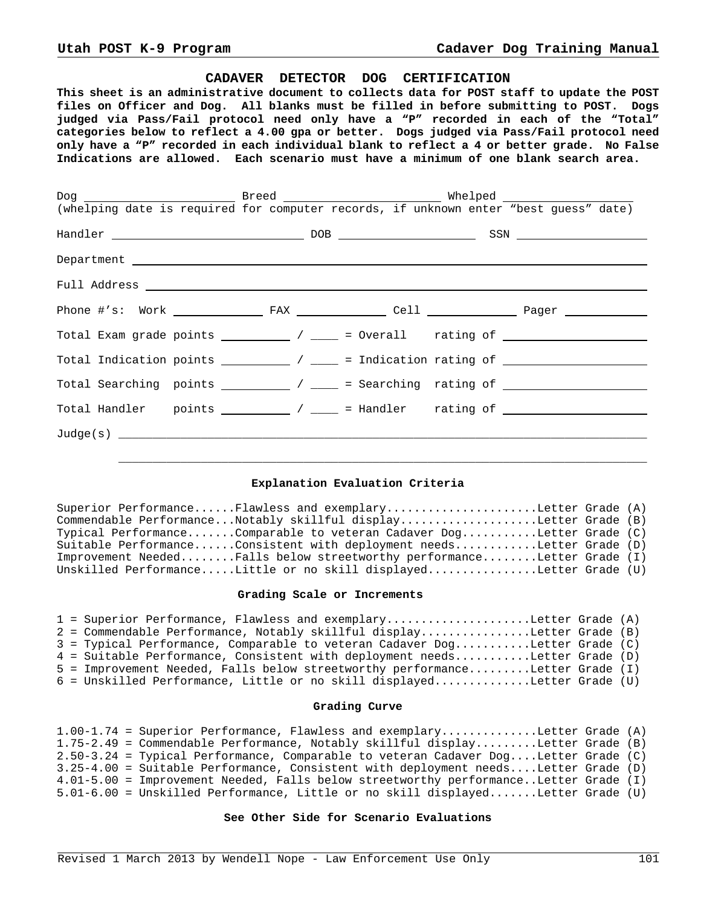### **CADAVER DETECTOR DOG CERTIFICATION**

**This sheet is an administrative document to collects data for POST staff to update the POST files on Officer and Dog. All blanks must be filled in before submitting to POST. Dogs judged via Pass/Fail protocol need only have a "P" recorded in each of the "Total" categories below to reflect a 4.00 gpa or better. Dogs judged via Pass/Fail protocol need only have a "P" recorded in each individual blank to reflect a 4 or better grade. No False Indications are allowed. Each scenario must have a minimum of one blank search area.**

| Total Exam grade points $\begin{array}{c} \begin{array}{c} \end{array}$ / $\begin{array}{c} \end{array}$ = 0verall rating of $\begin{array}{c} \end{array}$    |  |  |
|----------------------------------------------------------------------------------------------------------------------------------------------------------------|--|--|
| Total Indication points $\begin{array}{c} \begin{array}{c} \end{array}$ / $\begin{array}{c} \end{array}$ = Indication rating of $\begin{array}{c} \end{array}$ |  |  |
|                                                                                                                                                                |  |  |
|                                                                                                                                                                |  |  |
|                                                                                                                                                                |  |  |
|                                                                                                                                                                |  |  |

# **Explanation Evaluation Criteria**

Superior Performance......Flawless and exemplary......................Letter Grade (A) Commendable Performance...Notably skillful display....................Letter Grade (B) Typical Performance.......Comparable to veteran Cadaver Dog...........Letter Grade (C) Suitable Performance......Consistent with deployment needs............Letter Grade (D) Improvement Needed........Falls below streetworthy performance........Letter Grade (I) Unskilled Performance.....Little or no skill displayed................Letter Grade (U)

### **Grading Scale or Increments**

|  | 1 = Superior Performance, Flawless and exemplaryLetter Grade (A)             |  |
|--|------------------------------------------------------------------------------|--|
|  | 2 = Commendable Performance, Notably skillful displayLetter Grade (B)        |  |
|  | 3 = Typical Performance, Comparable to veteran Cadaver DogLetter Grade (C)   |  |
|  | 4 = Suitable Performance, Consistent with deployment needsLetter Grade (D)   |  |
|  | 5 = Improvement Needed, Falls below streetworthy performanceLetter Grade (I) |  |
|  | $6$ = Unskilled Performance, Little or no skill displayedLetter Grade (U)    |  |

### **Grading Curve**

|  | $1.00-1.74$ = Superior Performance, Flawless and exemplaryLetter Grade (A)           |  |
|--|--------------------------------------------------------------------------------------|--|
|  | 1.75-2.49 = Commendable Performance, Notably skillful displayLetter Grade (B)        |  |
|  | $2.50-3.24$ = Typical Performance, Comparable to veteran Cadaver DogLetter Grade (C) |  |
|  | 3.25-4.00 = Suitable Performance, Consistent with deployment needsLetter Grade (D)   |  |
|  | 4.01-5.00 = Improvement Needed, Falls below streetworthy performanceLetter Grade (I) |  |
|  | 5.01-6.00 = Unskilled Performance, Little or no skill displayedLetter Grade (U)      |  |

# **See Other Side for Scenario Evaluations**